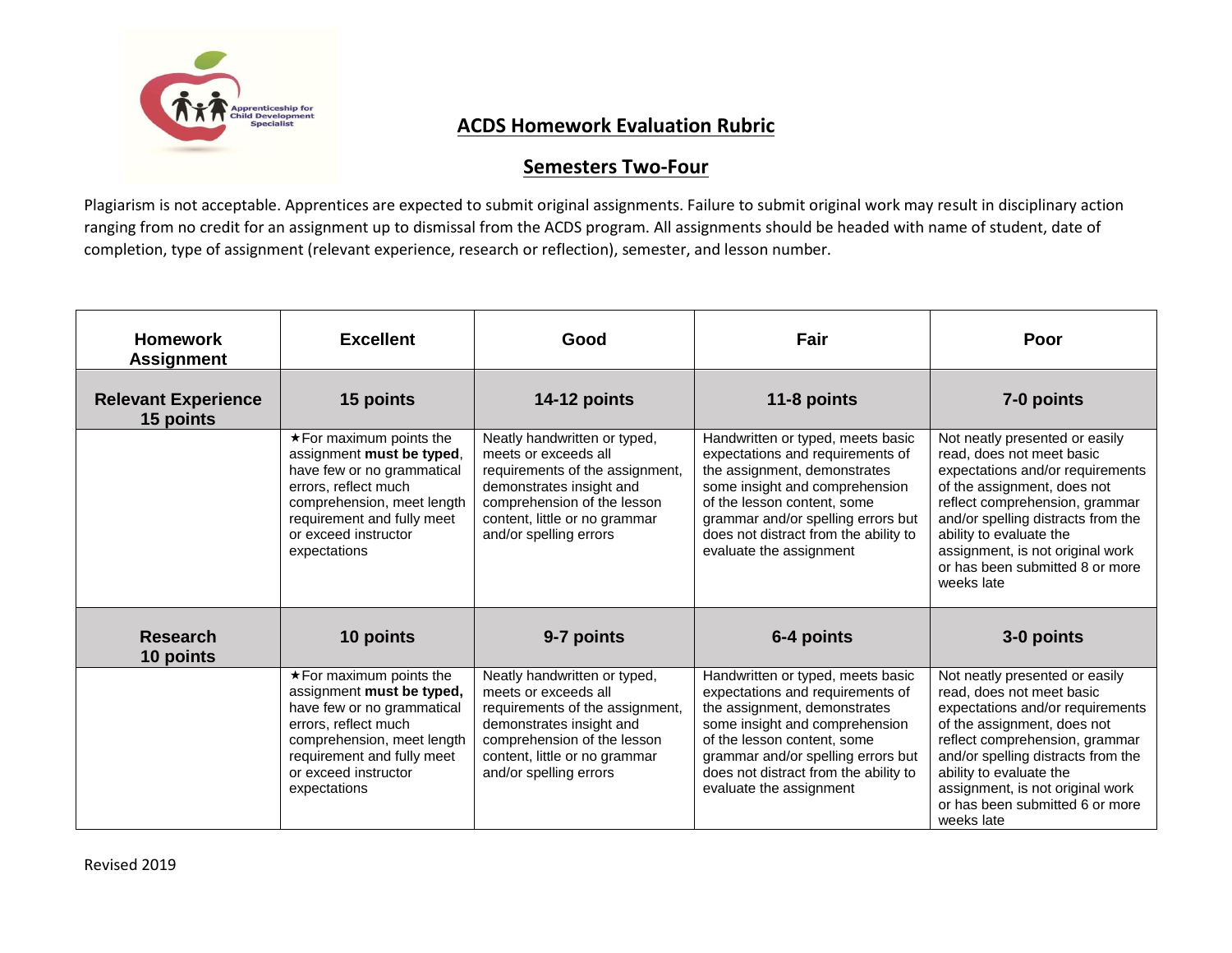

## **ACDS Homework Evaluation Rubric**

## **Semesters Two-Four**

Plagiarism is not acceptable. Apprentices are expected to submit original assignments. Failure to submit original work may result in disciplinary action ranging from no credit for an assignment up to dismissal from the ACDS program. All assignments should be headed with name of student, date of completion, type of assignment (relevant experience, research or reflection), semester, and lesson number.

| <b>Homework</b><br><b>Assignment</b>    | <b>Excellent</b>                                                                                                                                                                                                      | Good                                                                                                                                                                                                          | Fair                                                                                                                                                                                                                                                                             | Poor                                                                                                                                                                                                                                                                                                                   |
|-----------------------------------------|-----------------------------------------------------------------------------------------------------------------------------------------------------------------------------------------------------------------------|---------------------------------------------------------------------------------------------------------------------------------------------------------------------------------------------------------------|----------------------------------------------------------------------------------------------------------------------------------------------------------------------------------------------------------------------------------------------------------------------------------|------------------------------------------------------------------------------------------------------------------------------------------------------------------------------------------------------------------------------------------------------------------------------------------------------------------------|
| <b>Relevant Experience</b><br>15 points | 15 points                                                                                                                                                                                                             | 14-12 points                                                                                                                                                                                                  | 11-8 points                                                                                                                                                                                                                                                                      | 7-0 points                                                                                                                                                                                                                                                                                                             |
|                                         | $\star$ For maximum points the<br>assignment must be typed,<br>have few or no grammatical<br>errors, reflect much<br>comprehension, meet length<br>requirement and fully meet<br>or exceed instructor<br>expectations | Neatly handwritten or typed,<br>meets or exceeds all<br>requirements of the assignment,<br>demonstrates insight and<br>comprehension of the lesson<br>content, little or no grammar<br>and/or spelling errors | Handwritten or typed, meets basic<br>expectations and requirements of<br>the assignment, demonstrates<br>some insight and comprehension<br>of the lesson content, some<br>grammar and/or spelling errors but<br>does not distract from the ability to<br>evaluate the assignment | Not neatly presented or easily<br>read, does not meet basic<br>expectations and/or requirements<br>of the assignment, does not<br>reflect comprehension, grammar<br>and/or spelling distracts from the<br>ability to evaluate the<br>assignment, is not original work<br>or has been submitted 8 or more<br>weeks late |
| <b>Research</b><br>10 points            | 10 points                                                                                                                                                                                                             | 9-7 points                                                                                                                                                                                                    | 6-4 points                                                                                                                                                                                                                                                                       | 3-0 points                                                                                                                                                                                                                                                                                                             |
|                                         | $\star$ For maximum points the<br>assignment must be typed,<br>have few or no grammatical<br>errors, reflect much<br>comprehension, meet length<br>requirement and fully meet<br>or exceed instructor<br>expectations | Neatly handwritten or typed,<br>meets or exceeds all<br>requirements of the assignment,<br>demonstrates insight and<br>comprehension of the lesson<br>content, little or no grammar<br>and/or spelling errors | Handwritten or typed, meets basic<br>expectations and requirements of<br>the assignment, demonstrates<br>some insight and comprehension<br>of the lesson content, some<br>grammar and/or spelling errors but<br>does not distract from the ability to<br>evaluate the assignment | Not neatly presented or easily<br>read, does not meet basic<br>expectations and/or requirements<br>of the assignment, does not<br>reflect comprehension, grammar<br>and/or spelling distracts from the<br>ability to evaluate the<br>assignment, is not original work<br>or has been submitted 6 or more<br>weeks late |